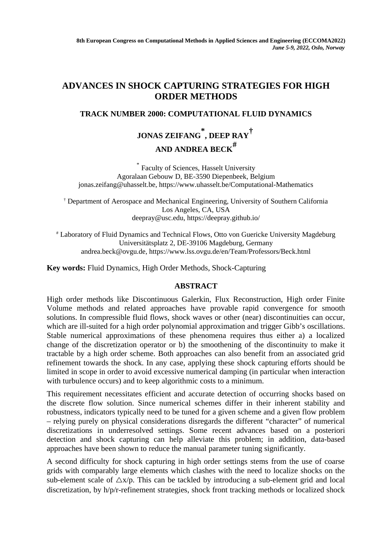## **ADVANCES IN SHOCK CAPTURING STRATEGIES FOR HIGH ORDER METHODS**

## **TRACK NUMBER 2000: COMPUTATIONAL FLUID DYNAMICS**

# **JONAS ZEIFANG \* , DEEP RAY† AND ANDREA BECK#**

\* Faculty of Sciences, Hasselt University Agoralaan Gebouw D, BE-3590 Diepenbeek, Belgium jonas.zeifang@uhasselt.be, https://www.uhasselt.be/Computational-Mathematics

† Department of Aerospace and Mechanical Engineering, University of Southern California Los Angeles, CA, USA deepray@usc.edu, https://deepray.github.io/

# Laboratory of Fluid Dynamics and Technical Flows, Otto von Guericke University Magdeburg Universitätsplatz 2, DE-39106 Magdeburg, Germany andrea.beck@ovgu.de, https://www.lss.ovgu.de/en/Team/Professors/Beck.html

**Key words:** Fluid Dynamics, High Order Methods, Shock-Capturing

## **ABSTRACT**

High order methods like Discontinuous Galerkin, Flux Reconstruction, High order Finite Volume methods and related approaches have provable rapid convergence for smooth solutions. In compressible fluid flows, shock waves or other (near) discontinuities can occur, which are ill-suited for a high order polynomial approximation and trigger Gibb's oscillations. Stable numerical approximations of these phenomena requires thus either a) a localized change of the discretization operator or b) the smoothening of the discontinuity to make it tractable by a high order scheme. Both approaches can also benefit from an associated grid refinement towards the shock. In any case, applying these shock capturing efforts should be limited in scope in order to avoid excessive numerical damping (in particular when interaction with turbulence occurs) and to keep algorithmic costs to a minimum.

This requirement necessitates efficient and accurate detection of occurring shocks based on the discrete flow solution. Since numerical schemes differ in their inherent stability and robustness, indicators typically need to be tuned for a given scheme and a given flow problem – relying purely on physical considerations disregards the different "character" of numerical discretizations in underresolved settings. Some recent advances based on a posteriori detection and shock capturing can help alleviate this problem; in addition, data-based approaches have been shown to reduce the manual parameter tuning significantly.

A second difficulty for shock capturing in high order settings stems from the use of coarse grids with comparably large elements which clashes with the need to localize shocks on the sub-element scale of  $\Delta x/p$ . This can be tackled by introducing a sub-element grid and local discretization, by h/p/r-refinement strategies, shock front tracking methods or localized shock